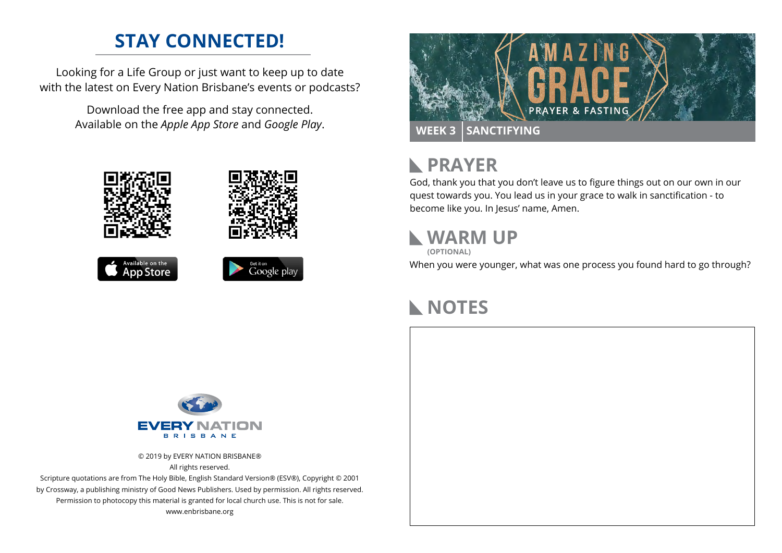#### **STAY CONNECTED!**

Looking for a Life Group or just want to keep up to date with the latest on Every Nation Brisbane's events or podcasts?

> Download the free app and stay connected. Available on the *Apple App Store* and *Google Play*.











## **RAYER**

God, thank you that you don't leave us to figure things out on our own in our quest towards you. You lead us in your grace to walk in sanctification - to become like you. In Jesus' name, Amen.

## **WARM UP**

**(OPTIONAL)**

When you were younger, what was one process you found hard to go through?

#### **NOTES**



© 2019 by EVERY NATION BRISBANE® All rights reserved.

Scripture quotations are from The Holy Bible, English Standard Version® (ESV®), Copyright © 2001 by Crossway, a publishing ministry of Good News Publishers. Used by permission. All rights reserved. Permission to photocopy this material is granted for local church use. This is not for sale. www.enbrisbane.org